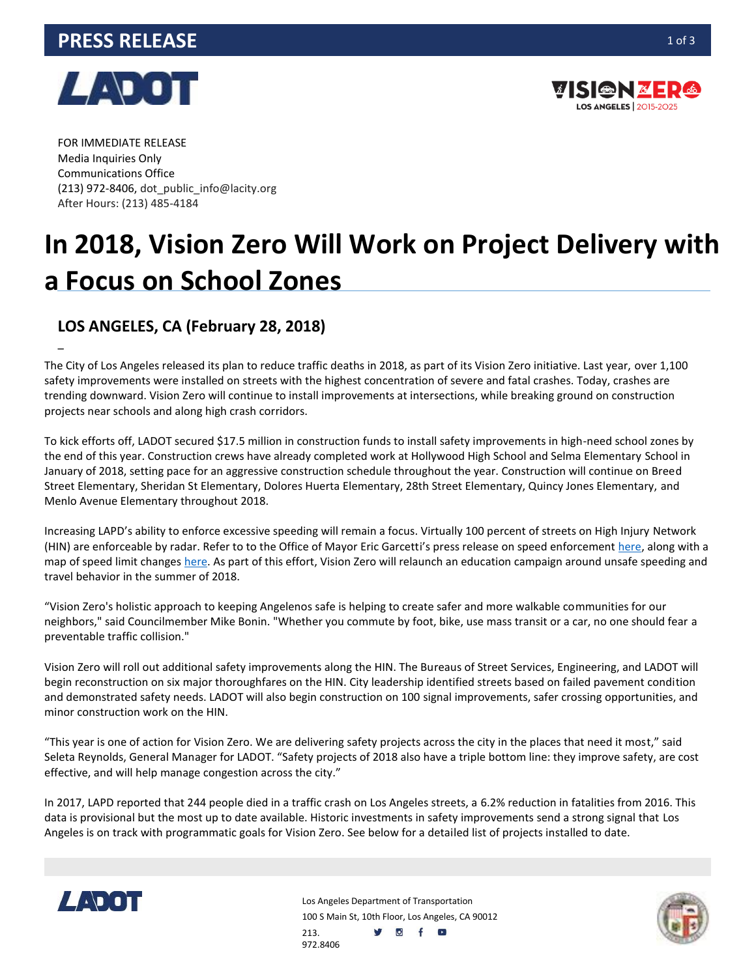## **PRESS RELEASE** 1013



–



FOR IMMEDIATE RELEASE Media Inquiries Only Communications Office (213) 972-8406, dot\_public\_info@lacity.org After Hours: (213) 485-4184

# **In 2018, Vision Zero Will Work on Project Delivery with a Focus on School Zones**

## **LOS ANGELES, CA (February 28, 2018)**

The City of Los Angeles released its plan to reduce traffic deaths in 2018, as part of its Vision Zero initiative. Last year, over 1,100 safety improvements were installed on streets with the highest concentration of severe and fatal crashes. Today, crashes are trending downward. Vision Zero will continue to install improvements at intersections, while breaking ground on construction projects near schools and along high crash corridors.

To kick efforts off, LADOT secured \$17.5 million in construction funds to install safety improvements in high-need school zones by the end of this year. Construction crews have already completed work at Hollywood High School and Selma Elementary School in January of 2018, setting pace for an aggressive construction schedule throughout the year. Construction will continue on Breed Street Elementary, Sheridan St Elementary, Dolores Huerta Elementary, 28th Street Elementary, Quincy Jones Elementary, and Menlo Avenue Elementary throughout 2018.

Increasing LAPD's ability to enforce excessive speeding will remain a focus. Virtually 100 percent of streets on High Injury Network (HIN) are enforceable by radar. Refer to to the Office of Mayor Eric Garcetti's press release on speed enforcement [here,](https://www.lamayor.org/new-speed-limits-will-improve-safety-la-streets) along with a map of speed limit changes [here.](http://ladot.lacity.org/new-speed-limits-will-improve-safety-la-streets) As part of this effort, Vision Zero will relaunch an education campaign around unsafe speeding and travel behavior in the summer of 2018.

"Vision Zero's holistic approach to keeping Angelenos safe is helping to create safer and more walkable communities for our neighbors," said Councilmember Mike Bonin. "Whether you commute by foot, bike, use mass transit or a car, no one should fear a preventable traffic collision."

Vision Zero will roll out additional safety improvements along the HIN. The Bureaus of Street Services, Engineering, and LADOT will begin reconstruction on six major thoroughfares on the HIN. City leadership identified streets based on failed pavement condition and demonstrated safety needs. LADOT will also begin construction on 100 signal improvements, safer crossing opportunities, and minor construction work on the HIN.

"This year is one of action for Vision Zero. We are delivering safety projects across the city in the places that need it most," said Seleta Reynolds, General Manager for LADOT. "Safety projects of 2018 also have a triple bottom line: they improve safety, are cost effective, and will help manage congestion across the city."

In 2017, LAPD reported that 244 people died in a traffic crash on Los Angeles streets, a 6.2% reduction in fatalities from 2016. This data is provisional but the most up to date available. Historic investments in safety improvements send a strong signal that Los Angeles is on track with programmatic goals for Vision Zero. See below for a detailed list of projects installed to date.



Los Angeles Department of Transportation 100 S Main St, 10th Floor, Los Angeles, CA 90012 213. y of o 972.8406

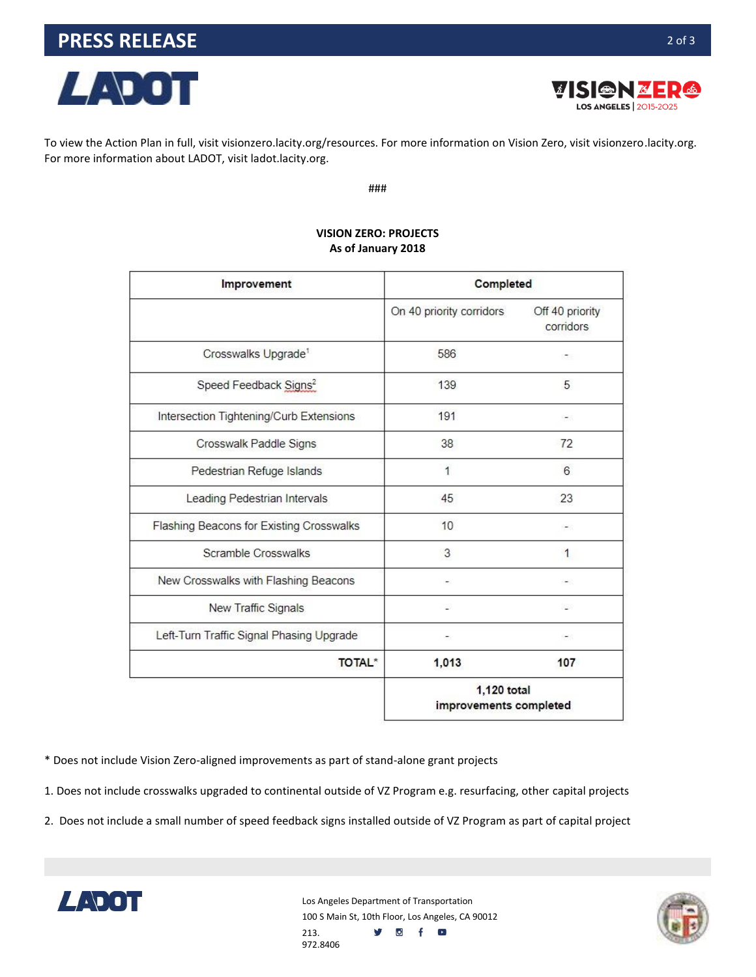

*ERSENBERG* **LOS ANGELES** 2015-2025

To view the Action Plan in full, visit visionzero.lacity.org/resources. For more information on Vision Zero, visit visionzero.lacity.org. For more information about LADOT, visit ladot.lacity.org.

###

| Improvement                              | Completed                             |                              |
|------------------------------------------|---------------------------------------|------------------------------|
|                                          | On 40 priority corridors              | Off 40 priority<br>corridors |
| Crosswalks Upgrade <sup>1</sup>          | 586                                   | æ,                           |
| Speed Feedback Signs <sup>2</sup>        | 139                                   | 5                            |
| Intersection Tightening/Curb Extensions  | 191                                   |                              |
| Crosswalk Paddle Signs                   | 38                                    | 72                           |
| Pedestrian Refuge Islands                | 1                                     | 6                            |
| Leading Pedestrian Intervals             | 45                                    | 23                           |
| Flashing Beacons for Existing Crosswalks | 10                                    |                              |
| Scramble Crosswalks                      | 3                                     | 1                            |
| New Crosswalks with Flashing Beacons     |                                       | -                            |
| New Traffic Signals                      |                                       |                              |
| Left-Turn Traffic Signal Phasing Upgrade |                                       |                              |
| <b>TOTAL*</b>                            | 1,013                                 | 107                          |
|                                          | 1,120 total<br>improvements completed |                              |

#### **VISION ZERO: PROJECTS As of January 2018**

\* Does not include Vision Zero-aligned improvements as part of stand-alone grant projects

1. Does not include crosswalks upgraded to continental outside of VZ Program e.g. resurfacing, other capital projects

2. Does not include a small number of speed feedback signs installed outside of VZ Program as part of capital project